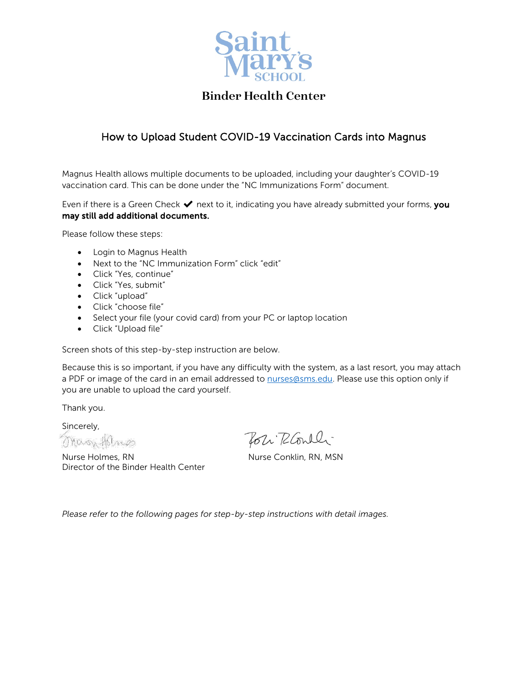

## **Binder Health Center**

## How to Upload Student COVID-19 Vaccination Cards into Magnus

Magnus Health allows multiple documents to be uploaded, including your daughter's COVID-19 vaccination card. This can be done under the "NC Immunizations Form" document.

Even if there is a Green Check  $\blacktriangledown$  next to it, indicating you have already submitted your forms, you may still add additional documents.

Please follow these steps:

- Login to Magnus Health
- Next to the "NC Immunization Form" click "edit"
- Click "Yes, continue"
- Click "Yes, submit"
- Click "upload"
- Click "choose file"
- Select your file (your covid card) from your PC or laptop location
- Click "Upload file"

Screen shots of this step-by-step instruction are below.

Because this is so important, if you have any difficulty with the system, as a last resort, you may attach a PDF or image of the card in an email addressed to nurses @sms.edu. Please use this option only if you are unable to upload the card yourself.

Thank you.

Sincerely, Magy Holmes

Nurse Holmes, RN Nurse Conklin, RN, MSN Director of the Binder Health Center

Toli RCoulli

*Please refer to the following pages for step-by-step instructions with detail images.*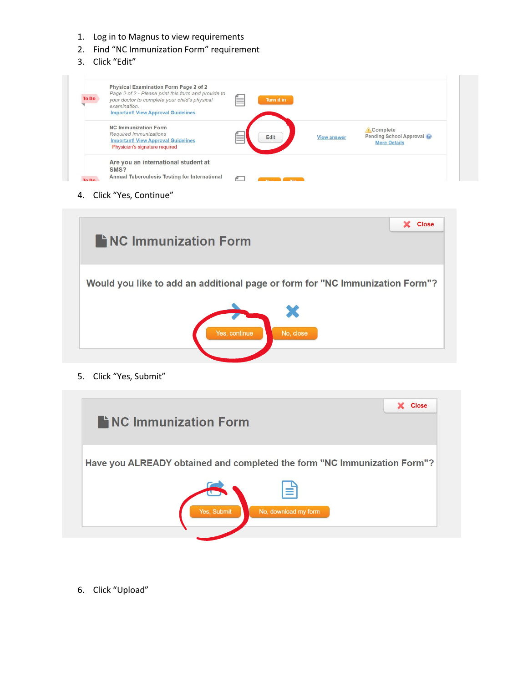- 1. Log in to Magnus to view requirements
- 2. Find "NC Immunization Form" requirement
- 3. Click "Edit"

| <b>To Do</b> | <b>Physical Examination Form Page 2 of 2</b><br>Page 2 of 2 - Please print this form and provide to<br>your doctor to complete your child's physical<br>examination.<br><b>Important! View Approval Guidelines</b> | Turn it in  |                    |                                                              |
|--------------|--------------------------------------------------------------------------------------------------------------------------------------------------------------------------------------------------------------------|-------------|--------------------|--------------------------------------------------------------|
|              | <b>NC Immunization Form</b><br>Required Immunizations<br><b>Important! View Approval Guidelines</b><br>Physician's signature required                                                                              | <b>Edit</b> | <b>View answer</b> | Complete<br>Pending School Approval @<br><b>More Details</b> |
| To Bo        | Are you an international student at<br>SMS?<br>Annual Tuberculosis Testing for International                                                                                                                       |             |                    |                                                              |

4. Click "Yes, Continue"



5. Click "Yes, Submit"



6. Click "Upload"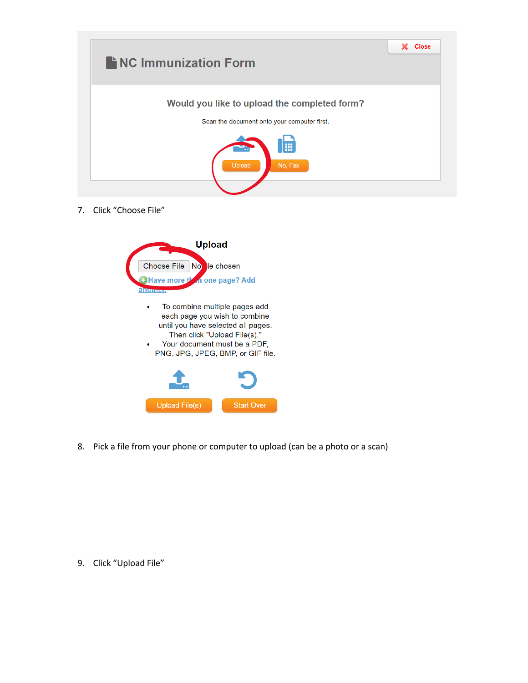

7. Click "Choose File"



8. Pick a file from your phone or computer to upload (can be a photo or a scan)

9. Click "Upload File"